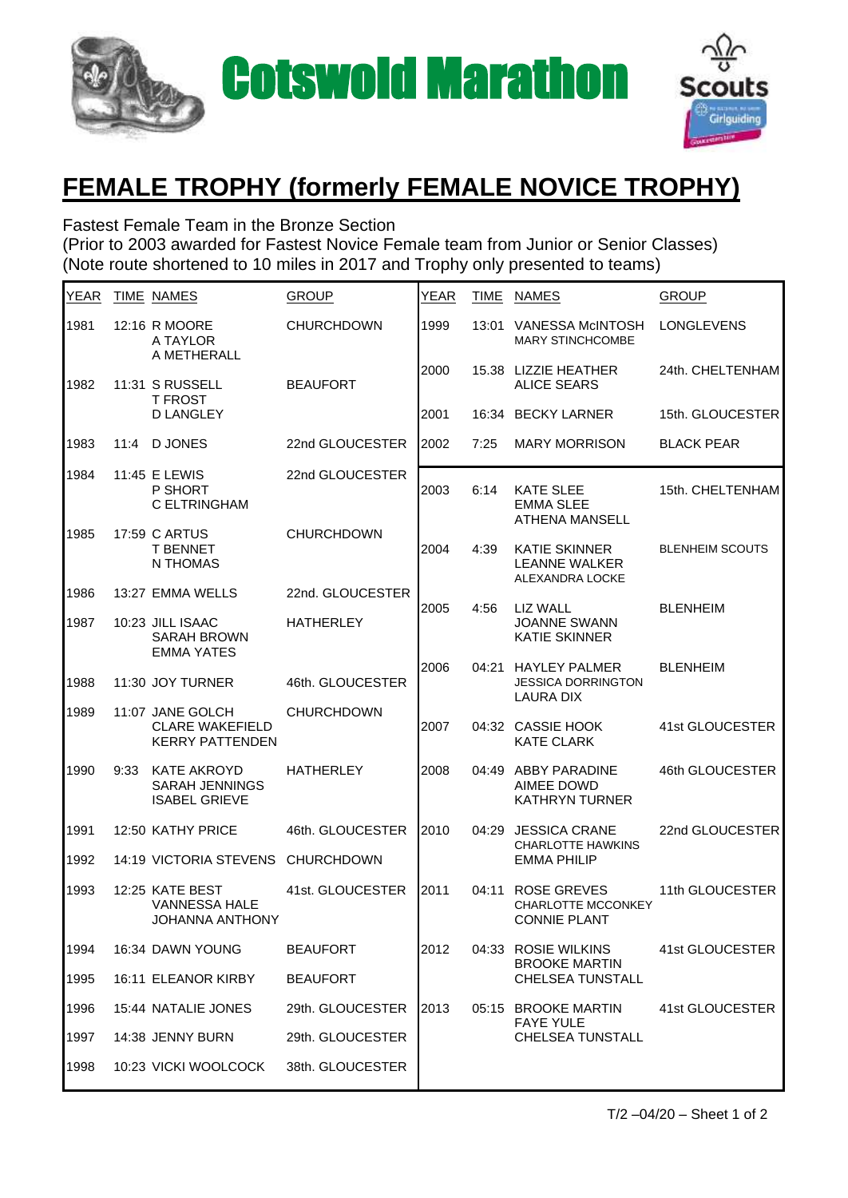



## **FEMALE TROPHY (formerly FEMALE NOVICE TROPHY)**

Fastest Female Team in the Bronze Section (Prior to 2003 awarded for Fastest Novice Female team from Junior or Senior Classes) (Note route shortened to 10 miles in 2017 and Trophy only presented to teams)

| <b>YEAR</b> |      | TIME NAMES                                                           | <b>GROUP</b>      | YEAR | <b>TIME</b> | <b>NAMES</b>                                                      | <b>GROUP</b>           |
|-------------|------|----------------------------------------------------------------------|-------------------|------|-------------|-------------------------------------------------------------------|------------------------|
| 1981        |      | 12:16 R MOORE<br>A TAYLOR<br>A METHERALL                             | <b>CHURCHDOWN</b> | 1999 | 13:01       | VANESSA McINTOSH<br><b>MARY STINCHCOMBE</b>                       | <b>LONGLEVENS</b>      |
| 1982        |      | 11:31 S RUSSELL<br><b>T FROST</b><br><b>D LANGLEY</b>                | <b>BEAUFORT</b>   | 2000 |             | 15.38 LIZZIE HEATHER<br><b>ALICE SEARS</b>                        | 24th. CHELTENHAM       |
|             |      |                                                                      |                   | 2001 | 16:34       | <b>BECKY LARNER</b>                                               | 15th. GLOUCESTER       |
| 1983        | 11:4 | <b>DJONES</b>                                                        | 22nd GLOUCESTER   | 2002 | 7:25        | <b>MARY MORRISON</b>                                              | <b>BLACK PEAR</b>      |
| 1984        |      | 11:45 E LEWIS<br>P SHORT<br>C ELTRINGHAM                             | 22nd GLOUCESTER   | 2003 | 6:14        | <b>KATE SLEE</b><br><b>EMMA SLEE</b><br><b>ATHENA MANSELL</b>     | 15th. CHELTENHAM       |
| 1985        |      | 17:59 C ARTUS<br><b>T BENNET</b><br>N THOMAS                         | <b>CHURCHDOWN</b> | 2004 | 4:39        | <b>KATIE SKINNER</b><br><b>LEANNE WALKER</b><br>ALEXANDRA LOCKE   | <b>BLENHEIM SCOUTS</b> |
| 1986        |      | 13:27 EMMA WELLS                                                     | 22nd. GLOUCESTER  | 2005 | 4:56        | <b>LIZ WALL</b>                                                   | <b>BLENHEIM</b>        |
| 1987        |      | 10:23 JILL ISAAC<br><b>SARAH BROWN</b><br><b>EMMA YATES</b>          | <b>HATHERLEY</b>  |      |             | <b>JOANNE SWANN</b><br><b>KATIE SKINNER</b>                       |                        |
| 1988        |      | 11:30 JOY TURNER                                                     | 46th. GLOUCESTER  | 2006 | 04:21       | <b>HAYLEY PALMER</b><br><b>JESSICA DORRINGTON</b><br>LAURA DIX    | <b>BLENHEIM</b>        |
| 1989        |      | 11:07 JANE GOLCH<br><b>CLARE WAKEFIELD</b><br><b>KERRY PATTENDEN</b> | <b>CHURCHDOWN</b> | 2007 |             | 04:32 CASSIE HOOK<br><b>KATE CLARK</b>                            | 41st GLOUCESTER        |
| 1990        | 9:33 | <b>KATE AKROYD</b><br>SARAH JENNINGS<br><b>ISABEL GRIEVE</b>         | <b>HATHERLEY</b>  | 2008 |             | 04:49 ABBY PARADINE<br><b>AIMEE DOWD</b><br><b>KATHRYN TURNER</b> | 46th GLOUCESTER        |
| 1991        |      | 12:50 KATHY PRICE                                                    | 46th. GLOUCESTER  | 2010 | 04:29       | <b>JESSICA CRANE</b><br><b>CHARLOTTE HAWKINS</b>                  | 22nd GLOUCESTER        |
| 1992        |      | 14:19 VICTORIA STEVENS                                               | <b>CHURCHDOWN</b> |      |             | <b>EMMA PHILIP</b>                                                |                        |
| 1993        |      | 12:25 KATE BEST<br>VANNESSA HALE<br><b>JOHANNA ANTHONY</b>           | 41st. GLOUCESTER  | 2011 | 04:11       | ROSE GREVES<br>CHARLOTTE MCCONKEY<br><b>CONNIE PLANT</b>          | 11th GLOUCESTER        |
| 1994        |      | 16:34 DAWN YOUNG                                                     | <b>BEAUFORT</b>   | 2012 |             | 04:33 ROSIE WILKINS<br><b>BROOKE MARTIN</b>                       | 41st GLOUCESTER        |
| 1995        |      | 16:11 ELEANOR KIRBY                                                  | <b>BEAUFORT</b>   |      |             | <b>CHELSEA TUNSTALL</b>                                           |                        |
| 1996        |      | 15:44 NATALIE JONES                                                  | 29th. GLOUCESTER  | 2013 |             | 05:15 BROOKE MARTIN<br><b>FAYE YULE</b>                           | 41st GLOUCESTER        |
| 1997        |      | 14:38 JENNY BURN                                                     | 29th. GLOUCESTER  |      |             | CHELSEA TUNSTALL                                                  |                        |
| 1998        |      | 10:23 VICKI WOOLCOCK                                                 | 38th. GLOUCESTER  |      |             |                                                                   |                        |